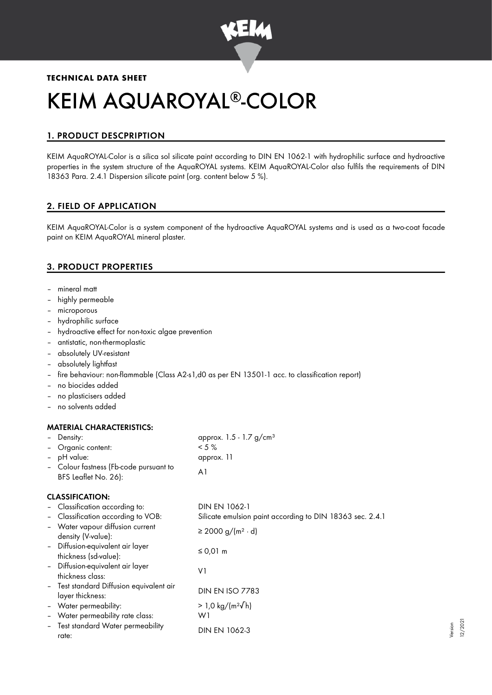

## **TECHNICAL DATA SHEET**

# KEIM AQUAROYAL®-COLOR

# 1. PRODUCT DESCPRIPTION

KEIM AquaROYAL-Color is a silica sol silicate paint according to DIN EN 1062-1 with hydrophilic surface and hydroactive properties in the system structure of the AquaROYAL systems. KEIM AquaROYAL-Color also fulfils the requirements of DIN 18363 Para. 2.4.1 Dispersion silicate paint (org. content below 5 %).

# 2. FIELD OF APPLICATION

KEIM AquaROYAL-Color is a system component of the hydroactive AquaROYAL systems and is used as a two-coat facade paint on KEIM AquaROYAL mineral plaster.

## 3. PRODUCT PROPERTIES

- mineral matt
- highly permeable
- microporous
- hydrophilic surface
- hydroactive effect for non-toxic algae prevention
- antistatic, non-thermoplastic
- absolutely UV-resistant
- absolutely lightfast
- fire behaviour: non-flammable (Class A2-s1,d0 as per EN 13501-1 acc. to classification report)
- no biocides added
- no plasticisers added
- no solvents added

## MATERIAL CHARACTERISTICS:

| Density:<br>-<br>Organic content:<br>$\overline{a}$<br>pH value:<br>$\qquad \qquad -$<br>BFS Leaflet No. 26): | - Colour fastness (Fb-code pursuant to   | approx. $1.5 - 1.7$ g/cm <sup>3</sup><br>$< 5 \%$<br>approx. 11<br>A <sub>1</sub> |
|---------------------------------------------------------------------------------------------------------------|------------------------------------------|-----------------------------------------------------------------------------------|
| <b>CLASSIFICATION:</b>                                                                                        |                                          |                                                                                   |
| - Classification according to:                                                                                |                                          | DIN EN 1062-1                                                                     |
| $\overline{\phantom{a}}$                                                                                      | Classification according to VOB:         | Silicate emulsion paint according to DIN 18363 sec. 2.4.1                         |
| Water vapour diffusion current<br>$\overline{\phantom{a}}$<br>density (V-value):                              |                                          | ≥ 2000 g/(m <sup>2</sup> · d)                                                     |
| - Diffusion-equivalent air layer<br>thickness (sd-value):                                                     |                                          | $\leq 0.01$ m                                                                     |
| - Diffusion-equivalent air layer<br>thickness class:                                                          |                                          | V1                                                                                |
| layer thickness:                                                                                              | - Test standard Diffusion equivalent air | <b>DIN EN ISO 7783</b>                                                            |
| - Water permeability:                                                                                         |                                          | > 1,0 kg/(m <sup>2</sup> √h)                                                      |
| Water permeability rate class:<br>$\qquad \qquad -$                                                           |                                          | W1                                                                                |
| $\qquad \qquad -$<br>rate:                                                                                    | Test standard Water permeability         | <b>DIN EN 1062-3</b>                                                              |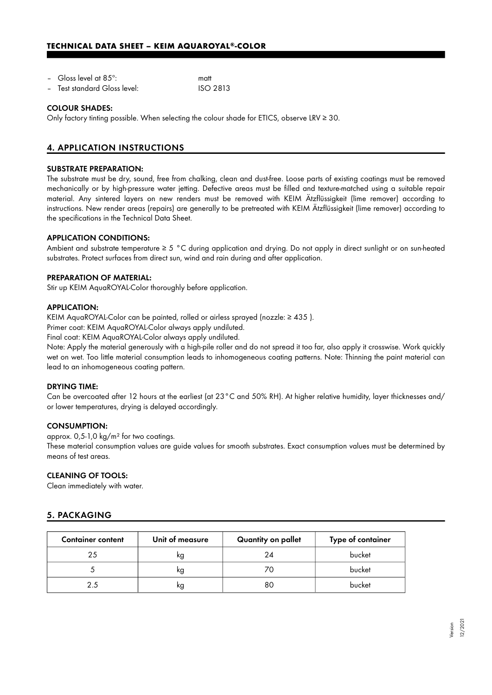## **TECHNICAL DATA SHEET – KEIM AQUAROYAL®-COLOR**

| - Gloss level at 85 $^{\circ}$ : | matt |
|----------------------------------|------|
|                                  |      |

– Test standard Gloss level: ISO 2813

#### COLOUR SHADES:

Only factory tinting possible. When selecting the colour shade for ETICS, observe LRV ≥ 30.

# 4. APPLICATION INSTRUCTIONS

#### SUBSTRATE PREPARATION:

The substrate must be dry, sound, free from chalking, clean and dust-free. Loose parts of existing coatings must be removed mechanically or by high-pressure water jetting. Defective areas must be filled and texture-matched using a suitable repair material. Any sintered layers on new renders must be removed with KEIM Ätzflüssigkeit (lime remover) according to instructions. New render areas (repairs) are generally to be pretreated with KEIM Ätzflüssigkeit (lime remover) according to the specifications in the Technical Data Sheet.

#### APPLICATION CONDITIONS:

Ambient and substrate temperature ≥ 5 °C during application and drying. Do not apply in direct sunlight or on sun-heated substrates. Protect surfaces from direct sun, wind and rain during and after application.

#### PREPARATION OF MATERIAL:

Stir up KEIM AquaROYAL-Color thoroughly before application.

#### APPLICATION:

KEIM AquaROYAL-Color can be painted, rolled or airless sprayed (nozzle: ≥ 435 ).

Primer coat: KEIM AquaROYAL-Color always apply undiluted.

Final coat: KEIM AquaROYAL-Color always apply undiluted.

Note: Apply the material generously with a high-pile roller and do not spread it too far, also apply it crosswise. Work quickly wet on wet. Too little material consumption leads to inhomogeneous coating patterns. Note: Thinning the paint material can lead to an inhomogeneous coating pattern.

#### DRYING TIME:

Can be overcoated after 12 hours at the earliest (at 23°C and 50% RH). At higher relative humidity, layer thicknesses and/ or lower temperatures, drying is delayed accordingly.

#### CONSUMPTION:

approx. 0,5-1,0 kg/m² for two coatings.

These material consumption values are guide values for smooth substrates. Exact consumption values must be determined by means of test areas.

#### CLEANING OF TOOLS:

Clean immediately with water.

## 5. PACKAGING

| <b>Container content</b> | Unit of measure | Quantity on pallet | Type of container |
|--------------------------|-----------------|--------------------|-------------------|
| 25                       | ĸg              | 24                 | bucket            |
|                          | kg              |                    | bucket            |
|                          | kg              | 80                 | bucket            |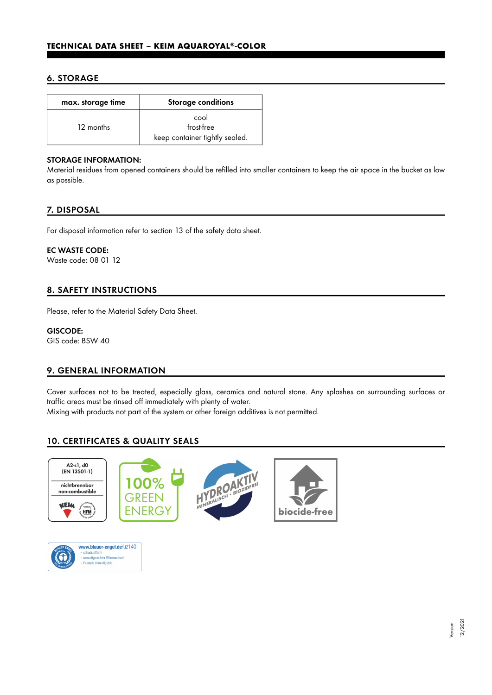# 6. STORAGE

| max. storage time | Storage conditions                                   |  |
|-------------------|------------------------------------------------------|--|
| 12 months         | cool<br>frost-free<br>keep container tightly sealed. |  |

## STORAGE INFORMATION:

Material residues from opened containers should be refilled into smaller containers to keep the air space in the bucket as low as possible.

# 7. DISPOSAL

For disposal information refer to section 13 of the safety data sheet.

## EC WASTE CODE:

Waste code: 08 01 12

# 8. SAFETY INSTRUCTIONS

Please, refer to the Material Safety Data Sheet.

## GISCODE:

GIS code: BSW 40

# 9. GENERAL INFORMATION

Cover surfaces not to be treated, especially glass, ceramics and natural stone. Any splashes on surrounding surfaces or traffic areas must be rinsed off immediately with plenty of water.

Mixing with products not part of the system or other foreign additives is not permitted.

# 10. CERTIFICATES & QUALITY SEALS





Version 12/2021